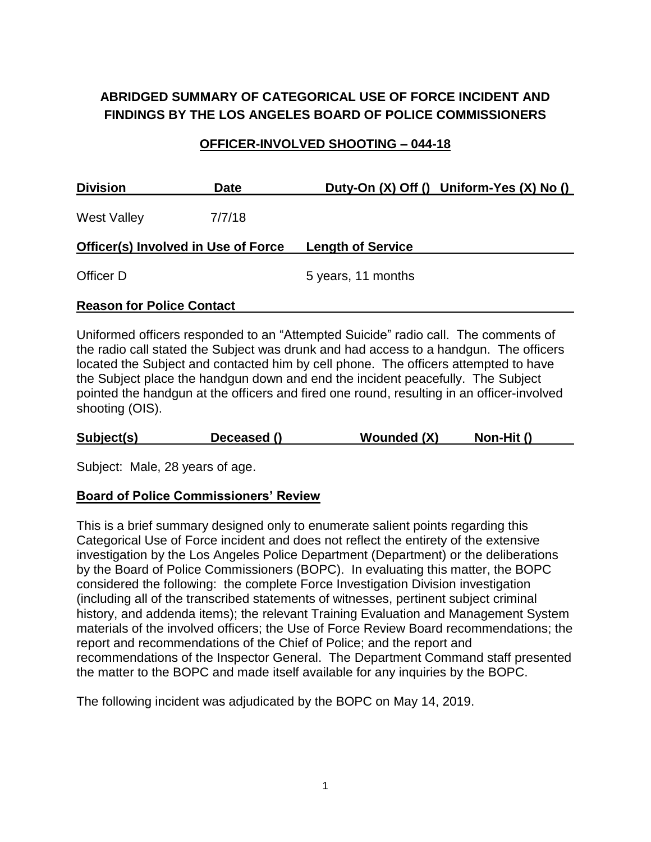## **ABRIDGED SUMMARY OF CATEGORICAL USE OF FORCE INCIDENT AND FINDINGS BY THE LOS ANGELES BOARD OF POLICE COMMISSIONERS**

#### **OFFICER-INVOLVED SHOOTING – 044-18**

| <b>Division</b>                            | <b>Date</b> |                          | Duty-On $(X)$ Off $()$ Uniform-Yes $(X)$ No $()$ |
|--------------------------------------------|-------------|--------------------------|--------------------------------------------------|
| <b>West Valley</b>                         | 7/7/18      |                          |                                                  |
| <b>Officer(s) Involved in Use of Force</b> |             | <b>Length of Service</b> |                                                  |
| Officer D                                  |             | 5 years, 11 months       |                                                  |

#### **Reason for Police Contact**

Uniformed officers responded to an "Attempted Suicide" radio call. The comments of the radio call stated the Subject was drunk and had access to a handgun. The officers located the Subject and contacted him by cell phone. The officers attempted to have the Subject place the handgun down and end the incident peacefully. The Subject pointed the handgun at the officers and fired one round, resulting in an officer-involved shooting (OIS).

| Wounded (X)<br>Subject(s)<br>Non-Hit ()<br>Deceased () |  |
|--------------------------------------------------------|--|
|--------------------------------------------------------|--|

Subject: Male, 28 years of age.

#### **Board of Police Commissioners' Review**

This is a brief summary designed only to enumerate salient points regarding this Categorical Use of Force incident and does not reflect the entirety of the extensive investigation by the Los Angeles Police Department (Department) or the deliberations by the Board of Police Commissioners (BOPC). In evaluating this matter, the BOPC considered the following: the complete Force Investigation Division investigation (including all of the transcribed statements of witnesses, pertinent subject criminal history, and addenda items); the relevant Training Evaluation and Management System materials of the involved officers; the Use of Force Review Board recommendations; the report and recommendations of the Chief of Police; and the report and recommendations of the Inspector General. The Department Command staff presented the matter to the BOPC and made itself available for any inquiries by the BOPC.

The following incident was adjudicated by the BOPC on May 14, 2019.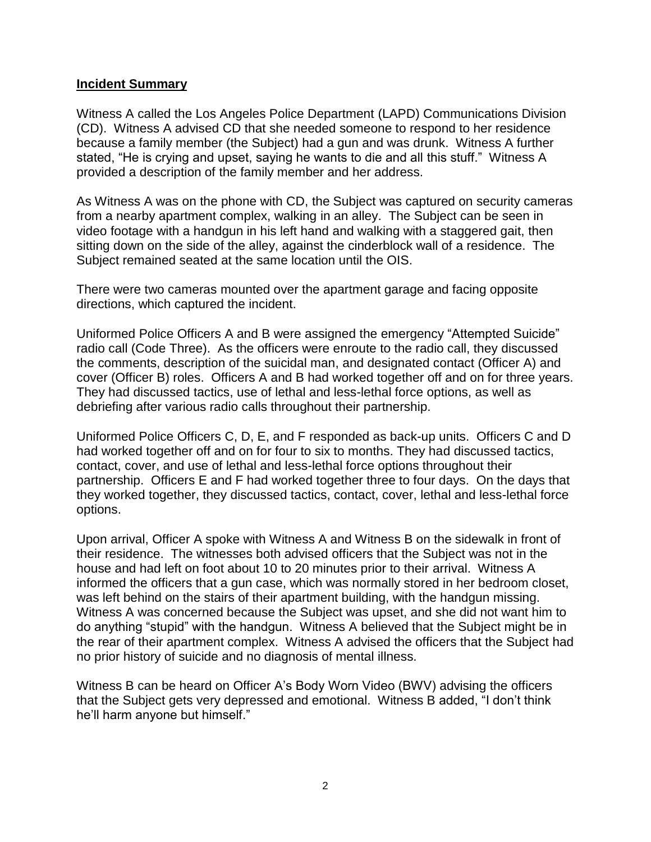#### **Incident Summary**

Witness A called the Los Angeles Police Department (LAPD) Communications Division (CD). Witness A advised CD that she needed someone to respond to her residence because a family member (the Subject) had a gun and was drunk. Witness A further stated, "He is crying and upset, saying he wants to die and all this stuff." Witness A provided a description of the family member and her address.

As Witness A was on the phone with CD, the Subject was captured on security cameras from a nearby apartment complex, walking in an alley. The Subject can be seen in video footage with a handgun in his left hand and walking with a staggered gait, then sitting down on the side of the alley, against the cinderblock wall of a residence. The Subject remained seated at the same location until the OIS.

There were two cameras mounted over the apartment garage and facing opposite directions, which captured the incident.

Uniformed Police Officers A and B were assigned the emergency "Attempted Suicide" radio call (Code Three). As the officers were enroute to the radio call, they discussed the comments, description of the suicidal man, and designated contact (Officer A) and cover (Officer B) roles. Officers A and B had worked together off and on for three years. They had discussed tactics, use of lethal and less-lethal force options, as well as debriefing after various radio calls throughout their partnership.

Uniformed Police Officers C, D, E, and F responded as back-up units.Officers C and D had worked together off and on for four to six to months. They had discussed tactics, contact, cover, and use of lethal and less-lethal force options throughout their partnership. Officers E and F had worked together three to four days. On the days that they worked together, they discussed tactics, contact, cover, lethal and less-lethal force options.

Upon arrival, Officer A spoke with Witness A and Witness B on the sidewalk in front of their residence. The witnesses both advised officers that the Subject was not in the house and had left on foot about 10 to 20 minutes prior to their arrival. Witness A informed the officers that a gun case, which was normally stored in her bedroom closet, was left behind on the stairs of their apartment building, with the handgun missing. Witness A was concerned because the Subject was upset, and she did not want him to do anything "stupid" with the handgun. Witness A believed that the Subject might be in the rear of their apartment complex. Witness A advised the officers that the Subject had no prior history of suicide and no diagnosis of mental illness.

Witness B can be heard on Officer A's Body Worn Video (BWV) advising the officers that the Subject gets very depressed and emotional. Witness B added, "I don't think he'll harm anyone but himself."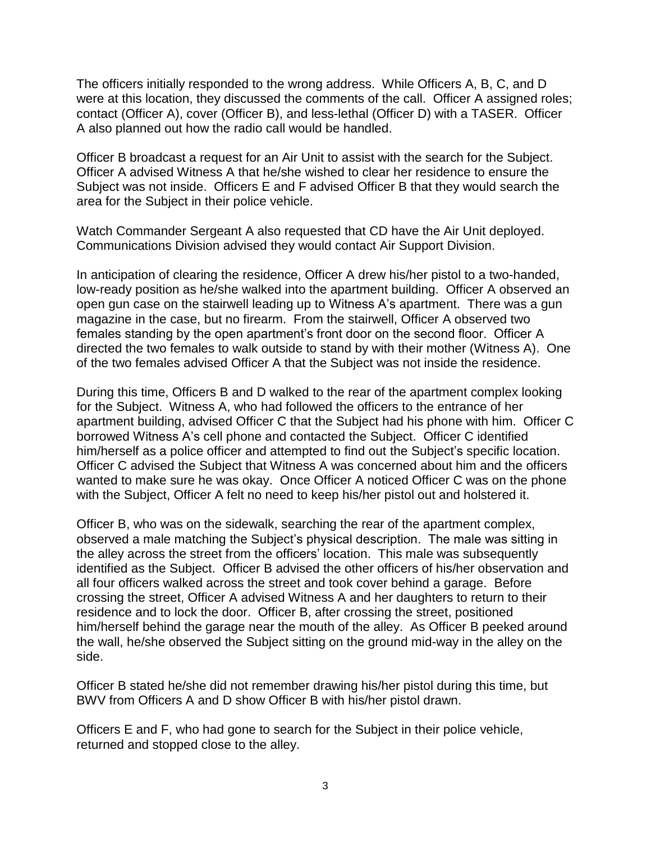The officers initially responded to the wrong address. While Officers A, B, C, and D were at this location, they discussed the comments of the call. Officer A assigned roles; contact (Officer A), cover (Officer B), and less-lethal (Officer D) with a TASER. Officer A also planned out how the radio call would be handled.

Officer B broadcast a request for an Air Unit to assist with the search for the Subject. Officer A advised Witness A that he/she wished to clear her residence to ensure the Subject was not inside. Officers E and F advised Officer B that they would search the area for the Subject in their police vehicle.

Watch Commander Sergeant A also requested that CD have the Air Unit deployed. Communications Division advised they would contact Air Support Division.

In anticipation of clearing the residence, Officer A drew his/her pistol to a two-handed, low-ready position as he/she walked into the apartment building. Officer A observed an open gun case on the stairwell leading up to Witness A's apartment. There was a gun magazine in the case, but no firearm. From the stairwell, Officer A observed two females standing by the open apartment's front door on the second floor. Officer A directed the two females to walk outside to stand by with their mother (Witness A). One of the two females advised Officer A that the Subject was not inside the residence.

During this time, Officers B and D walked to the rear of the apartment complex looking for the Subject. Witness A, who had followed the officers to the entrance of her apartment building, advised Officer C that the Subject had his phone with him. Officer C borrowed Witness A's cell phone and contacted the Subject. Officer C identified him/herself as a police officer and attempted to find out the Subject's specific location. Officer C advised the Subject that Witness A was concerned about him and the officers wanted to make sure he was okay. Once Officer A noticed Officer C was on the phone with the Subject, Officer A felt no need to keep his/her pistol out and holstered it.

Officer B, who was on the sidewalk, searching the rear of the apartment complex, observed a male matching the Subject's physical description. The male was sitting in the alley across the street from the officers' location. This male was subsequently identified as the Subject. Officer B advised the other officers of his/her observation and all four officers walked across the street and took cover behind a garage. Before crossing the street, Officer A advised Witness A and her daughters to return to their residence and to lock the door. Officer B, after crossing the street, positioned him/herself behind the garage near the mouth of the alley. As Officer B peeked around the wall, he/she observed the Subject sitting on the ground mid-way in the alley on the side.

Officer B stated he/she did not remember drawing his/her pistol during this time, but BWV from Officers A and D show Officer B with his/her pistol drawn.

Officers E and F, who had gone to search for the Subject in their police vehicle, returned and stopped close to the alley.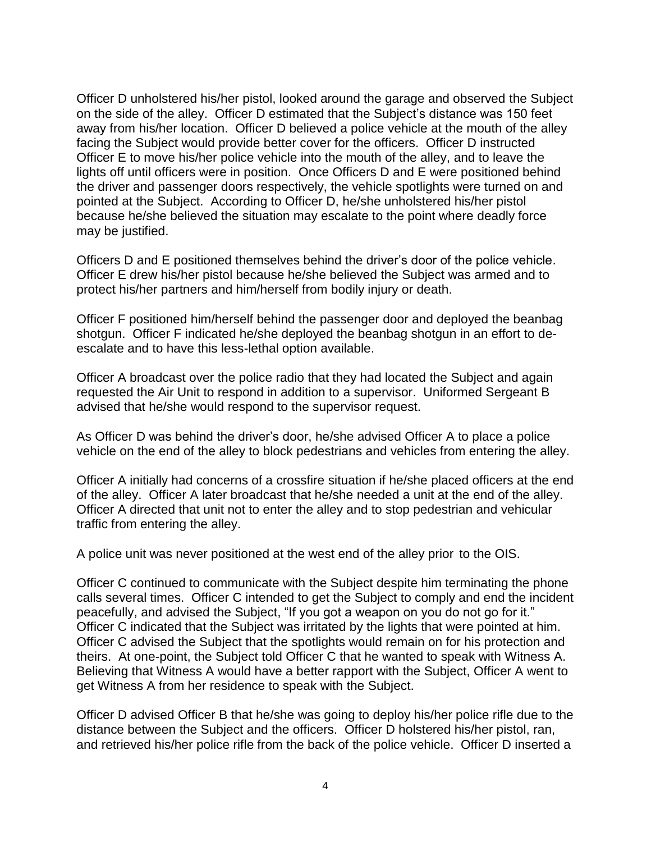Officer D unholstered his/her pistol, looked around the garage and observed the Subject on the side of the alley. Officer D estimated that the Subject's distance was 150 feet away from his/her location. Officer D believed a police vehicle at the mouth of the alley facing the Subject would provide better cover for the officers. Officer D instructed Officer E to move his/her police vehicle into the mouth of the alley, and to leave the lights off until officers were in position. Once Officers D and E were positioned behind the driver and passenger doors respectively, the vehicle spotlights were turned on and pointed at the Subject. According to Officer D, he/she unholstered his/her pistol because he/she believed the situation may escalate to the point where deadly force may be justified.

Officers D and E positioned themselves behind the driver's door of the police vehicle. Officer E drew his/her pistol because he/she believed the Subject was armed and to protect his/her partners and him/herself from bodily injury or death.

Officer F positioned him/herself behind the passenger door and deployed the beanbag shotgun. Officer F indicated he/she deployed the beanbag shotgun in an effort to deescalate and to have this less-lethal option available.

Officer A broadcast over the police radio that they had located the Subject and again requested the Air Unit to respond in addition to a supervisor. Uniformed Sergeant B advised that he/she would respond to the supervisor request.

As Officer D was behind the driver's door, he/she advised Officer A to place a police vehicle on the end of the alley to block pedestrians and vehicles from entering the alley.

Officer A initially had concerns of a crossfire situation if he/she placed officers at the end of the alley. Officer A later broadcast that he/she needed a unit at the end of the alley. Officer A directed that unit not to enter the alley and to stop pedestrian and vehicular traffic from entering the alley.

A police unit was never positioned at the west end of the alley prior to the OIS.

Officer C continued to communicate with the Subject despite him terminating the phone calls several times. Officer C intended to get the Subject to comply and end the incident peacefully, and advised the Subject, "If you got a weapon on you do not go for it." Officer C indicated that the Subject was irritated by the lights that were pointed at him. Officer C advised the Subject that the spotlights would remain on for his protection and theirs. At one-point, the Subject told Officer C that he wanted to speak with Witness A. Believing that Witness A would have a better rapport with the Subject, Officer A went to get Witness A from her residence to speak with the Subject.

Officer D advised Officer B that he/she was going to deploy his/her police rifle due to the distance between the Subject and the officers. Officer D holstered his/her pistol, ran, and retrieved his/her police rifle from the back of the police vehicle. Officer D inserted a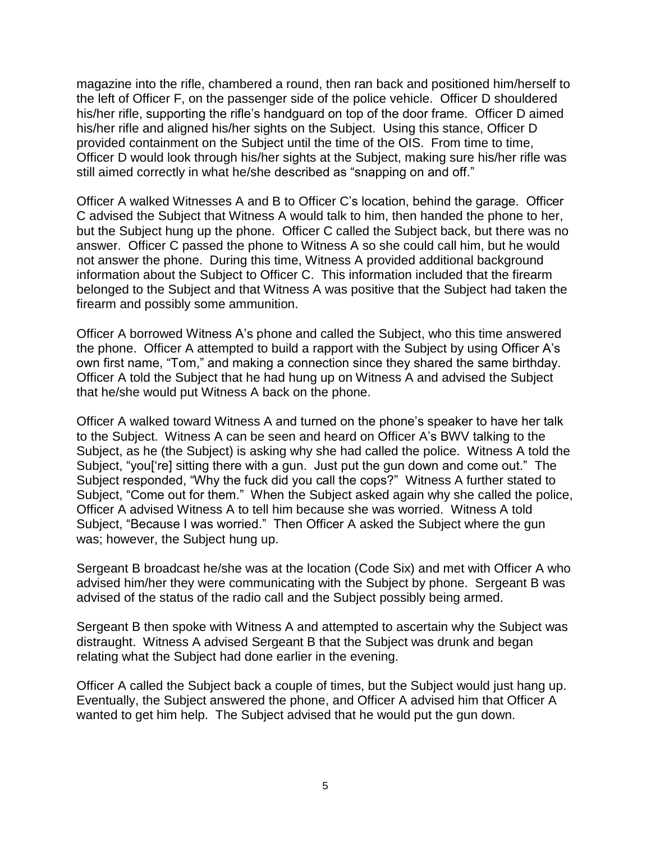magazine into the rifle, chambered a round, then ran back and positioned him/herself to the left of Officer F, on the passenger side of the police vehicle. Officer D shouldered his/her rifle, supporting the rifle's handguard on top of the door frame. Officer D aimed his/her rifle and aligned his/her sights on the Subject. Using this stance, Officer D provided containment on the Subject until the time of the OIS. From time to time, Officer D would look through his/her sights at the Subject, making sure his/her rifle was still aimed correctly in what he/she described as "snapping on and off."

Officer A walked Witnesses A and B to Officer C's location, behind the garage. Officer C advised the Subject that Witness A would talk to him, then handed the phone to her, but the Subject hung up the phone. Officer C called the Subject back, but there was no answer. Officer C passed the phone to Witness A so she could call him, but he would not answer the phone. During this time, Witness A provided additional background information about the Subject to Officer C. This information included that the firearm belonged to the Subject and that Witness A was positive that the Subject had taken the firearm and possibly some ammunition.

Officer A borrowed Witness A's phone and called the Subject, who this time answered the phone. Officer A attempted to build a rapport with the Subject by using Officer A's own first name, "Tom," and making a connection since they shared the same birthday. Officer A told the Subject that he had hung up on Witness A and advised the Subject that he/she would put Witness A back on the phone.

Officer A walked toward Witness A and turned on the phone's speaker to have her talk to the Subject. Witness A can be seen and heard on Officer A's BWV talking to the Subject, as he (the Subject) is asking why she had called the police. Witness A told the Subject, "you['re] sitting there with a gun. Just put the gun down and come out." The Subject responded, "Why the fuck did you call the cops?" Witness A further stated to Subject, "Come out for them." When the Subject asked again why she called the police, Officer A advised Witness A to tell him because she was worried. Witness A told Subject, "Because I was worried." Then Officer A asked the Subject where the gun was; however, the Subject hung up.

Sergeant B broadcast he/she was at the location (Code Six) and met with Officer A who advised him/her they were communicating with the Subject by phone. Sergeant B was advised of the status of the radio call and the Subject possibly being armed.

Sergeant B then spoke with Witness A and attempted to ascertain why the Subject was distraught. Witness A advised Sergeant B that the Subject was drunk and began relating what the Subject had done earlier in the evening.

Officer A called the Subject back a couple of times, but the Subject would just hang up. Eventually, the Subject answered the phone, and Officer A advised him that Officer A wanted to get him help. The Subject advised that he would put the gun down.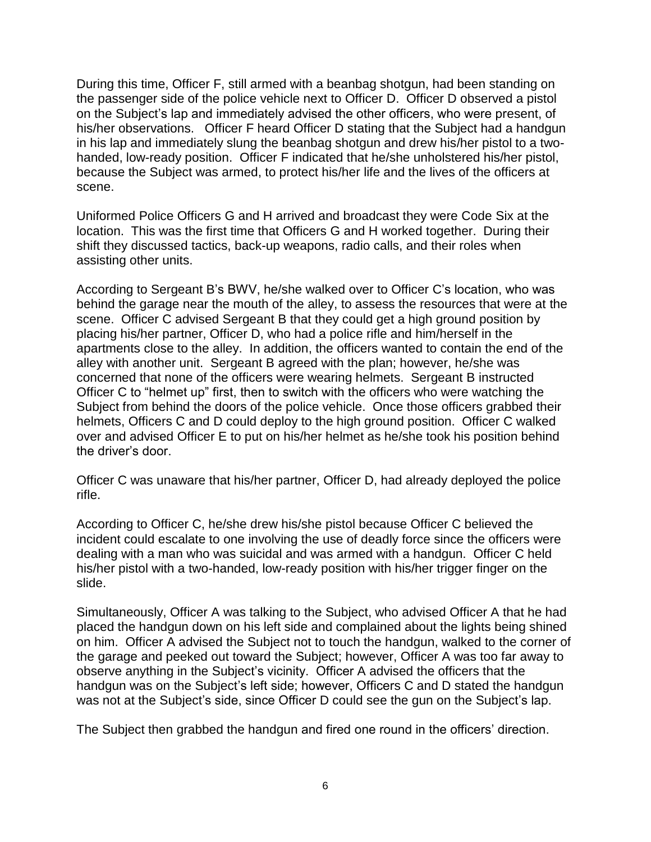During this time, Officer F, still armed with a beanbag shotgun, had been standing on the passenger side of the police vehicle next to Officer D. Officer D observed a pistol on the Subject's lap and immediately advised the other officers, who were present, of his/her observations. Officer F heard Officer D stating that the Subject had a handgun in his lap and immediately slung the beanbag shotgun and drew his/her pistol to a twohanded, low-ready position. Officer F indicated that he/she unholstered his/her pistol, because the Subject was armed, to protect his/her life and the lives of the officers at scene.

Uniformed Police Officers G and H arrived and broadcast they were Code Six at the location. This was the first time that Officers G and H worked together. During their shift they discussed tactics, back-up weapons, radio calls, and their roles when assisting other units.

According to Sergeant B's BWV, he/she walked over to Officer C's location, who was behind the garage near the mouth of the alley, to assess the resources that were at the scene. Officer C advised Sergeant B that they could get a high ground position by placing his/her partner, Officer D, who had a police rifle and him/herself in the apartments close to the alley. In addition, the officers wanted to contain the end of the alley with another unit. Sergeant B agreed with the plan; however, he/she was concerned that none of the officers were wearing helmets. Sergeant B instructed Officer C to "helmet up" first, then to switch with the officers who were watching the Subject from behind the doors of the police vehicle. Once those officers grabbed their helmets, Officers C and D could deploy to the high ground position. Officer C walked over and advised Officer E to put on his/her helmet as he/she took his position behind the driver's door.

Officer C was unaware that his/her partner, Officer D, had already deployed the police rifle.

According to Officer C, he/she drew his/she pistol because Officer C believed the incident could escalate to one involving the use of deadly force since the officers were dealing with a man who was suicidal and was armed with a handgun. Officer C held his/her pistol with a two-handed, low-ready position with his/her trigger finger on the slide.

Simultaneously, Officer A was talking to the Subject, who advised Officer A that he had placed the handgun down on his left side and complained about the lights being shined on him. Officer A advised the Subject not to touch the handgun, walked to the corner of the garage and peeked out toward the Subject; however, Officer A was too far away to observe anything in the Subject's vicinity. Officer A advised the officers that the handgun was on the Subject's left side; however, Officers C and D stated the handgun was not at the Subject's side, since Officer D could see the gun on the Subject's lap.

The Subject then grabbed the handgun and fired one round in the officers' direction.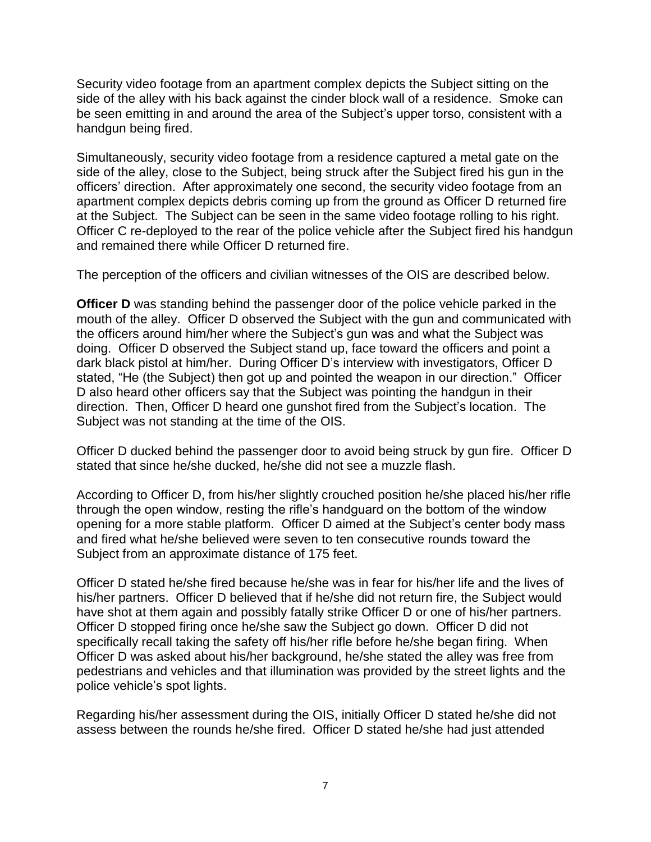Security video footage from an apartment complex depicts the Subject sitting on the side of the alley with his back against the cinder block wall of a residence. Smoke can be seen emitting in and around the area of the Subject's upper torso, consistent with a handgun being fired.

Simultaneously, security video footage from a residence captured a metal gate on the side of the alley, close to the Subject, being struck after the Subject fired his gun in the officers' direction. After approximately one second, the security video footage from an apartment complex depicts debris coming up from the ground as Officer D returned fire at the Subject. The Subject can be seen in the same video footage rolling to his right. Officer C re-deployed to the rear of the police vehicle after the Subject fired his handgun and remained there while Officer D returned fire.

The perception of the officers and civilian witnesses of the OIS are described below.

**Officer D** was standing behind the passenger door of the police vehicle parked in the mouth of the alley. Officer D observed the Subject with the gun and communicated with the officers around him/her where the Subject's gun was and what the Subject was doing. Officer D observed the Subject stand up, face toward the officers and point a dark black pistol at him/her. During Officer D's interview with investigators, Officer D stated, "He (the Subject) then got up and pointed the weapon in our direction." Officer D also heard other officers say that the Subject was pointing the handgun in their direction. Then, Officer D heard one gunshot fired from the Subject's location. The Subject was not standing at the time of the OIS.

Officer D ducked behind the passenger door to avoid being struck by gun fire. Officer D stated that since he/she ducked, he/she did not see a muzzle flash.

According to Officer D, from his/her slightly crouched position he/she placed his/her rifle through the open window, resting the rifle's handguard on the bottom of the window opening for a more stable platform. Officer D aimed at the Subject's center body mass and fired what he/she believed were seven to ten consecutive rounds toward the Subject from an approximate distance of 175 feet.

Officer D stated he/she fired because he/she was in fear for his/her life and the lives of his/her partners. Officer D believed that if he/she did not return fire, the Subject would have shot at them again and possibly fatally strike Officer D or one of his/her partners. Officer D stopped firing once he/she saw the Subject go down. Officer D did not specifically recall taking the safety off his/her rifle before he/she began firing. When Officer D was asked about his/her background, he/she stated the alley was free from pedestrians and vehicles and that illumination was provided by the street lights and the police vehicle's spot lights.

Regarding his/her assessment during the OIS, initially Officer D stated he/she did not assess between the rounds he/she fired. Officer D stated he/she had just attended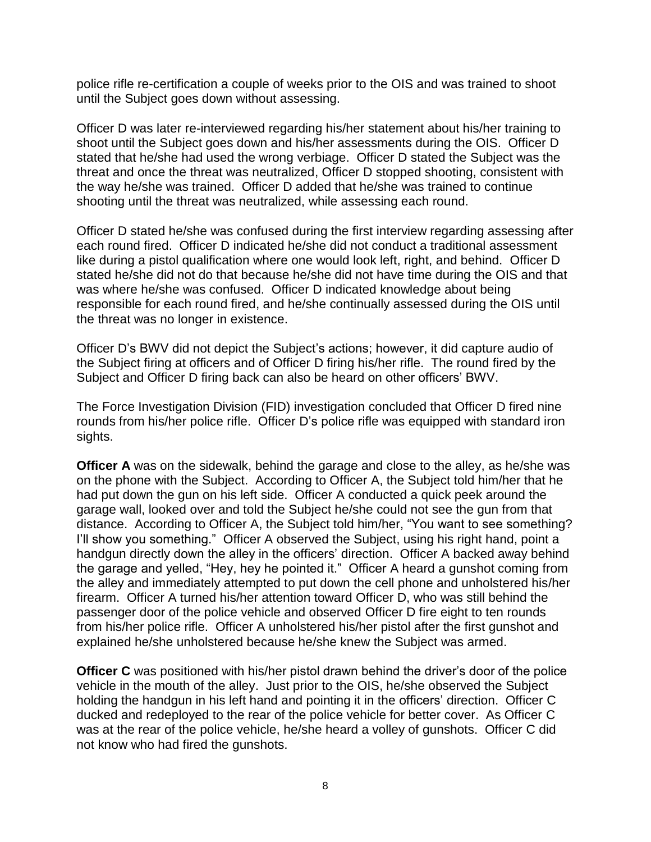police rifle re-certification a couple of weeks prior to the OIS and was trained to shoot until the Subject goes down without assessing.

Officer D was later re-interviewed regarding his/her statement about his/her training to shoot until the Subject goes down and his/her assessments during the OIS. Officer D stated that he/she had used the wrong verbiage. Officer D stated the Subject was the threat and once the threat was neutralized, Officer D stopped shooting, consistent with the way he/she was trained. Officer D added that he/she was trained to continue shooting until the threat was neutralized, while assessing each round.

Officer D stated he/she was confused during the first interview regarding assessing after each round fired. Officer D indicated he/she did not conduct a traditional assessment like during a pistol qualification where one would look left, right, and behind. Officer D stated he/she did not do that because he/she did not have time during the OIS and that was where he/she was confused. Officer D indicated knowledge about being responsible for each round fired, and he/she continually assessed during the OIS until the threat was no longer in existence.

Officer D's BWV did not depict the Subject's actions; however, it did capture audio of the Subject firing at officers and of Officer D firing his/her rifle. The round fired by the Subject and Officer D firing back can also be heard on other officers' BWV.

The Force Investigation Division (FID) investigation concluded that Officer D fired nine rounds from his/her police rifle. Officer D's police rifle was equipped with standard iron sights.

**Officer A** was on the sidewalk, behind the garage and close to the alley, as he/she was on the phone with the Subject. According to Officer A, the Subject told him/her that he had put down the gun on his left side. Officer A conducted a quick peek around the garage wall, looked over and told the Subject he/she could not see the gun from that distance. According to Officer A, the Subject told him/her, "You want to see something? I'll show you something." Officer A observed the Subject, using his right hand, point a handgun directly down the alley in the officers' direction. Officer A backed away behind the garage and yelled, "Hey, hey he pointed it." Officer A heard a gunshot coming from the alley and immediately attempted to put down the cell phone and unholstered his/her firearm. Officer A turned his/her attention toward Officer D, who was still behind the passenger door of the police vehicle and observed Officer D fire eight to ten rounds from his/her police rifle. Officer A unholstered his/her pistol after the first gunshot and explained he/she unholstered because he/she knew the Subject was armed.

**Officer C** was positioned with his/her pistol drawn behind the driver's door of the police vehicle in the mouth of the alley. Just prior to the OIS, he/she observed the Subject holding the handgun in his left hand and pointing it in the officers' direction. Officer C ducked and redeployed to the rear of the police vehicle for better cover. As Officer C was at the rear of the police vehicle, he/she heard a volley of gunshots. Officer C did not know who had fired the gunshots.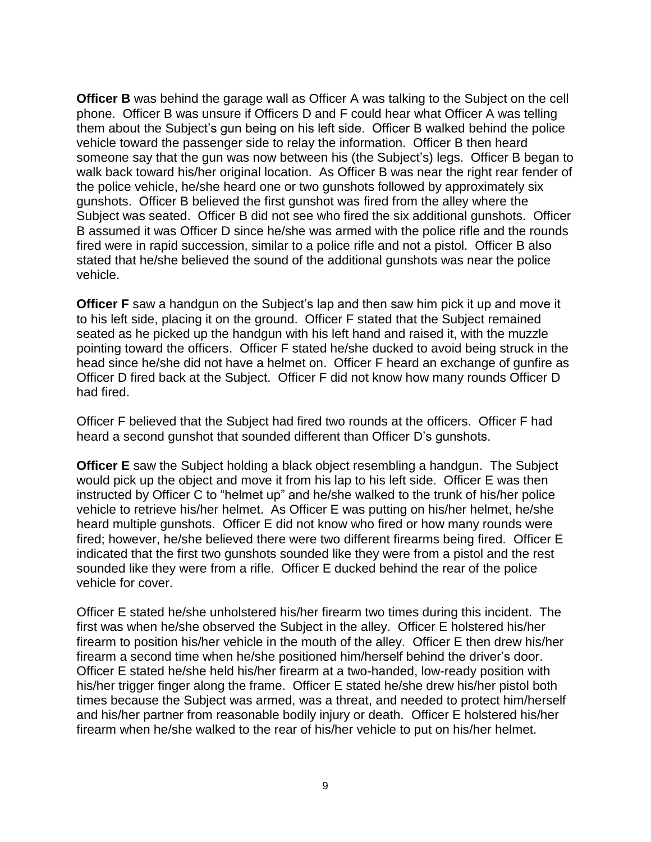**Officer B** was behind the garage wall as Officer A was talking to the Subject on the cell phone. Officer B was unsure if Officers D and F could hear what Officer A was telling them about the Subject's gun being on his left side. Officer B walked behind the police vehicle toward the passenger side to relay the information. Officer B then heard someone say that the gun was now between his (the Subject's) legs. Officer B began to walk back toward his/her original location. As Officer B was near the right rear fender of the police vehicle, he/she heard one or two gunshots followed by approximately six gunshots. Officer B believed the first gunshot was fired from the alley where the Subject was seated. Officer B did not see who fired the six additional gunshots. Officer B assumed it was Officer D since he/she was armed with the police rifle and the rounds fired were in rapid succession, similar to a police rifle and not a pistol. Officer B also stated that he/she believed the sound of the additional gunshots was near the police vehicle.

**Officer F** saw a handgun on the Subject's lap and then saw him pick it up and move it to his left side, placing it on the ground. Officer F stated that the Subject remained seated as he picked up the handgun with his left hand and raised it, with the muzzle pointing toward the officers. Officer F stated he/she ducked to avoid being struck in the head since he/she did not have a helmet on. Officer F heard an exchange of gunfire as Officer D fired back at the Subject. Officer F did not know how many rounds Officer D had fired.

Officer F believed that the Subject had fired two rounds at the officers. Officer F had heard a second gunshot that sounded different than Officer D's gunshots.

**Officer E** saw the Subject holding a black object resembling a handgun. The Subject would pick up the object and move it from his lap to his left side. Officer E was then instructed by Officer C to "helmet up" and he/she walked to the trunk of his/her police vehicle to retrieve his/her helmet. As Officer E was putting on his/her helmet, he/she heard multiple gunshots. Officer E did not know who fired or how many rounds were fired; however, he/she believed there were two different firearms being fired. Officer E indicated that the first two gunshots sounded like they were from a pistol and the rest sounded like they were from a rifle. Officer E ducked behind the rear of the police vehicle for cover.

Officer E stated he/she unholstered his/her firearm two times during this incident. The first was when he/she observed the Subject in the alley. Officer E holstered his/her firearm to position his/her vehicle in the mouth of the alley. Officer E then drew his/her firearm a second time when he/she positioned him/herself behind the driver's door. Officer E stated he/she held his/her firearm at a two-handed, low-ready position with his/her trigger finger along the frame. Officer E stated he/she drew his/her pistol both times because the Subject was armed, was a threat, and needed to protect him/herself and his/her partner from reasonable bodily injury or death. Officer E holstered his/her firearm when he/she walked to the rear of his/her vehicle to put on his/her helmet.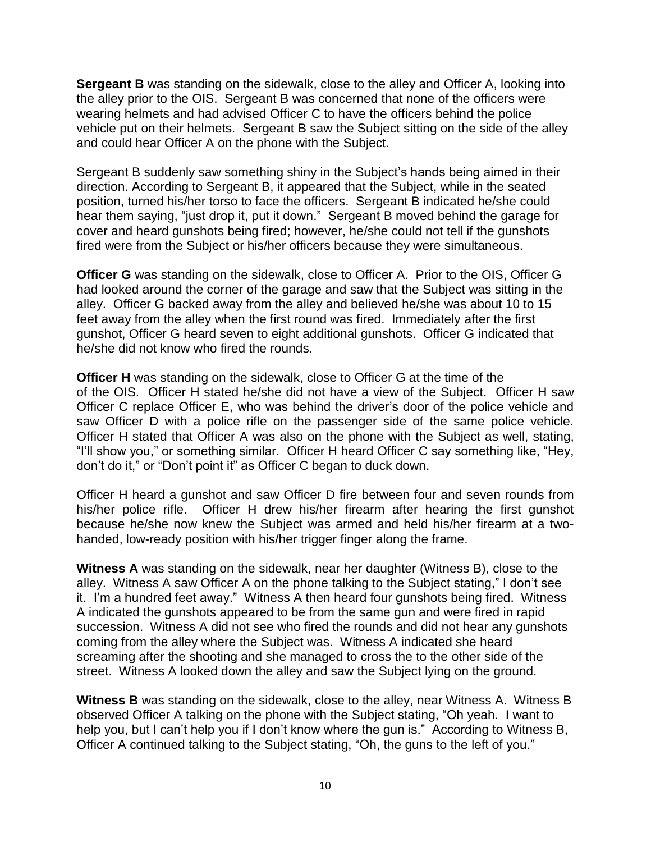**Sergeant B** was standing on the sidewalk, close to the alley and Officer A, looking into the alley prior to the OIS. Sergeant B was concerned that none of the officers were wearing helmets and had advised Officer C to have the officers behind the police vehicle put on their helmets. Sergeant B saw the Subject sitting on the side of the alley and could hear Officer A on the phone with the Subject.

Sergeant B suddenly saw something shiny in the Subject's hands being aimed in their direction. According to Sergeant B, it appeared that the Subject, while in the seated position, turned his/her torso to face the officers. Sergeant B indicated he/she could hear them saying, "just drop it, put it down." Sergeant B moved behind the garage for cover and heard gunshots being fired; however, he/she could not tell if the gunshots fired were from the Subject or his/her officers because they were simultaneous.

**Officer G** was standing on the sidewalk, close to Officer A. Prior to the OIS, Officer G had looked around the corner of the garage and saw that the Subject was sitting in the alley. Officer G backed away from the alley and believed he/she was about 10 to 15 feet away from the alley when the first round was fired. Immediately after the first gunshot, Officer G heard seven to eight additional gunshots. Officer G indicated that he/she did not know who fired the rounds.

**Officer H** was standing on the sidewalk, close to Officer G at the time of the of the OIS. Officer H stated he/she did not have a view of the Subject. Officer H saw Officer C replace Officer E, who was behind the driver's door of the police vehicle and saw Officer D with a police rifle on the passenger side of the same police vehicle. Officer H stated that Officer A was also on the phone with the Subject as well, stating, "I'll show you," or something similar. Officer H heard Officer C say something like, "Hey, don't do it," or "Don't point it" as Officer C began to duck down.

Officer H heard a gunshot and saw Officer D fire between four and seven rounds from his/her police rifle. Officer H drew his/her firearm after hearing the first gunshot because he/she now knew the Subject was armed and held his/her firearm at a twohanded, low-ready position with his/her trigger finger along the frame.

**Witness A** was standing on the sidewalk, near her daughter (Witness B), close to the alley. Witness A saw Officer A on the phone talking to the Subject stating," I don't see it. I'm a hundred feet away." Witness A then heard four gunshots being fired. Witness A indicated the gunshots appeared to be from the same gun and were fired in rapid succession. Witness A did not see who fired the rounds and did not hear any gunshots coming from the alley where the Subject was. Witness A indicated she heard screaming after the shooting and she managed to cross the to the other side of the street. Witness A looked down the alley and saw the Subject lying on the ground.

**Witness B** was standing on the sidewalk, close to the alley, near Witness A. Witness B observed Officer A talking on the phone with the Subject stating, "Oh yeah. I want to help you, but I can't help you if I don't know where the gun is." According to Witness B, Officer A continued talking to the Subject stating, "Oh, the guns to the left of you."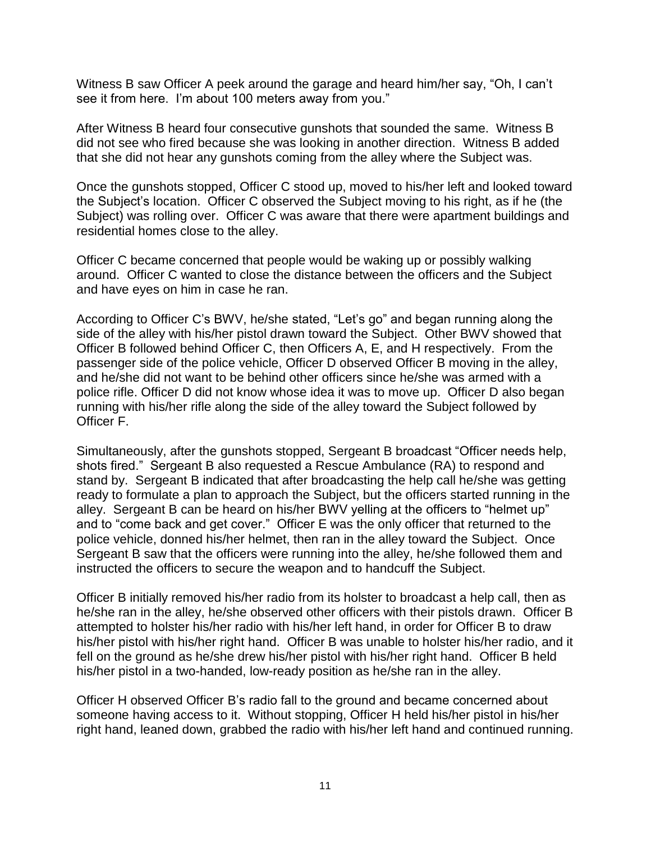Witness B saw Officer A peek around the garage and heard him/her say, "Oh, I can't see it from here. I'm about 100 meters away from you."

After Witness B heard four consecutive gunshots that sounded the same. Witness B did not see who fired because she was looking in another direction. Witness B added that she did not hear any gunshots coming from the alley where the Subject was.

Once the gunshots stopped, Officer C stood up, moved to his/her left and looked toward the Subject's location. Officer C observed the Subject moving to his right, as if he (the Subject) was rolling over. Officer C was aware that there were apartment buildings and residential homes close to the alley.

Officer C became concerned that people would be waking up or possibly walking around. Officer C wanted to close the distance between the officers and the Subject and have eyes on him in case he ran.

According to Officer C's BWV, he/she stated, "Let's go" and began running along the side of the alley with his/her pistol drawn toward the Subject. Other BWV showed that Officer B followed behind Officer C, then Officers A, E, and H respectively. From the passenger side of the police vehicle, Officer D observed Officer B moving in the alley, and he/she did not want to be behind other officers since he/she was armed with a police rifle. Officer D did not know whose idea it was to move up. Officer D also began running with his/her rifle along the side of the alley toward the Subject followed by Officer F.

Simultaneously, after the gunshots stopped, Sergeant B broadcast "Officer needs help, shots fired." Sergeant B also requested a Rescue Ambulance (RA) to respond and stand by. Sergeant B indicated that after broadcasting the help call he/she was getting ready to formulate a plan to approach the Subject, but the officers started running in the alley. Sergeant B can be heard on his/her BWV yelling at the officers to "helmet up" and to "come back and get cover." Officer E was the only officer that returned to the police vehicle, donned his/her helmet, then ran in the alley toward the Subject. Once Sergeant B saw that the officers were running into the alley, he/she followed them and instructed the officers to secure the weapon and to handcuff the Subject.

Officer B initially removed his/her radio from its holster to broadcast a help call, then as he/she ran in the alley, he/she observed other officers with their pistols drawn. Officer B attempted to holster his/her radio with his/her left hand, in order for Officer B to draw his/her pistol with his/her right hand. Officer B was unable to holster his/her radio, and it fell on the ground as he/she drew his/her pistol with his/her right hand. Officer B held his/her pistol in a two-handed, low-ready position as he/she ran in the alley.

Officer H observed Officer B's radio fall to the ground and became concerned about someone having access to it. Without stopping, Officer H held his/her pistol in his/her right hand, leaned down, grabbed the radio with his/her left hand and continued running.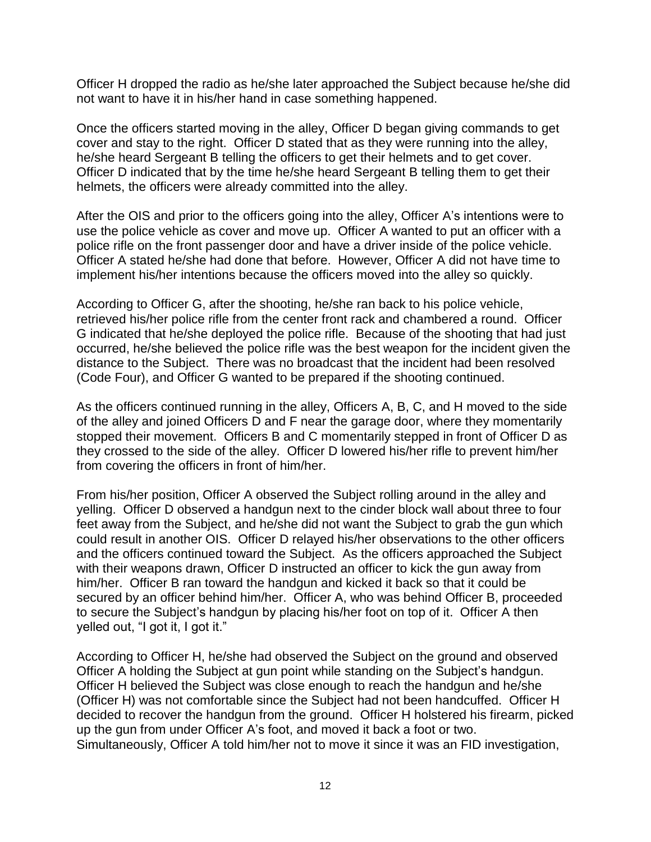Officer H dropped the radio as he/she later approached the Subject because he/she did not want to have it in his/her hand in case something happened.

Once the officers started moving in the alley, Officer D began giving commands to get cover and stay to the right. Officer D stated that as they were running into the alley, he/she heard Sergeant B telling the officers to get their helmets and to get cover. Officer D indicated that by the time he/she heard Sergeant B telling them to get their helmets, the officers were already committed into the alley.

After the OIS and prior to the officers going into the alley, Officer A's intentions were to use the police vehicle as cover and move up. Officer A wanted to put an officer with a police rifle on the front passenger door and have a driver inside of the police vehicle. Officer A stated he/she had done that before. However, Officer A did not have time to implement his/her intentions because the officers moved into the alley so quickly.

According to Officer G, after the shooting, he/she ran back to his police vehicle, retrieved his/her police rifle from the center front rack and chambered a round. Officer G indicated that he/she deployed the police rifle. Because of the shooting that had just occurred, he/she believed the police rifle was the best weapon for the incident given the distance to the Subject. There was no broadcast that the incident had been resolved (Code Four), and Officer G wanted to be prepared if the shooting continued.

As the officers continued running in the alley, Officers A, B, C, and H moved to the side of the alley and joined Officers D and F near the garage door, where they momentarily stopped their movement. Officers B and C momentarily stepped in front of Officer D as they crossed to the side of the alley. Officer D lowered his/her rifle to prevent him/her from covering the officers in front of him/her.

From his/her position, Officer A observed the Subject rolling around in the alley and yelling. Officer D observed a handgun next to the cinder block wall about three to four feet away from the Subject, and he/she did not want the Subject to grab the gun which could result in another OIS. Officer D relayed his/her observations to the other officers and the officers continued toward the Subject. As the officers approached the Subject with their weapons drawn, Officer D instructed an officer to kick the gun away from him/her. Officer B ran toward the handgun and kicked it back so that it could be secured by an officer behind him/her. Officer A, who was behind Officer B, proceeded to secure the Subject's handgun by placing his/her foot on top of it. Officer A then yelled out, "I got it, I got it."

According to Officer H, he/she had observed the Subject on the ground and observed Officer A holding the Subject at gun point while standing on the Subject's handgun. Officer H believed the Subject was close enough to reach the handgun and he/she (Officer H) was not comfortable since the Subject had not been handcuffed. Officer H decided to recover the handgun from the ground. Officer H holstered his firearm, picked up the gun from under Officer A's foot, and moved it back a foot or two. Simultaneously, Officer A told him/her not to move it since it was an FID investigation,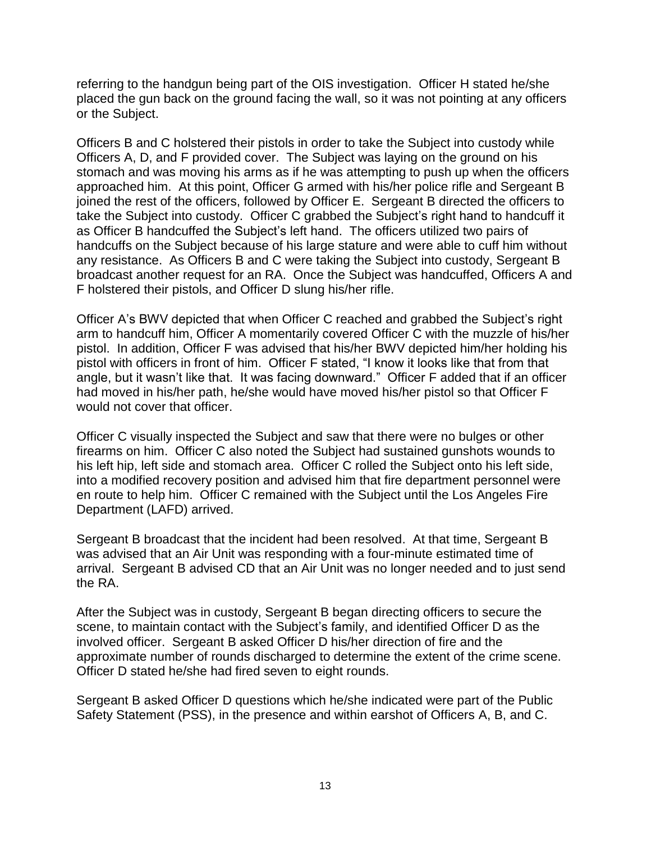referring to the handgun being part of the OIS investigation. Officer H stated he/she placed the gun back on the ground facing the wall, so it was not pointing at any officers or the Subject.

Officers B and C holstered their pistols in order to take the Subject into custody while Officers A, D, and F provided cover. The Subject was laying on the ground on his stomach and was moving his arms as if he was attempting to push up when the officers approached him. At this point, Officer G armed with his/her police rifle and Sergeant B joined the rest of the officers, followed by Officer E. Sergeant B directed the officers to take the Subject into custody. Officer C grabbed the Subject's right hand to handcuff it as Officer B handcuffed the Subject's left hand. The officers utilized two pairs of handcuffs on the Subject because of his large stature and were able to cuff him without any resistance. As Officers B and C were taking the Subject into custody, Sergeant B broadcast another request for an RA. Once the Subject was handcuffed, Officers A and F holstered their pistols, and Officer D slung his/her rifle.

Officer A's BWV depicted that when Officer C reached and grabbed the Subject's right arm to handcuff him, Officer A momentarily covered Officer C with the muzzle of his/her pistol. In addition, Officer F was advised that his/her BWV depicted him/her holding his pistol with officers in front of him. Officer F stated, "I know it looks like that from that angle, but it wasn't like that. It was facing downward." Officer F added that if an officer had moved in his/her path, he/she would have moved his/her pistol so that Officer F would not cover that officer.

Officer C visually inspected the Subject and saw that there were no bulges or other firearms on him. Officer C also noted the Subject had sustained gunshots wounds to his left hip, left side and stomach area. Officer C rolled the Subject onto his left side, into a modified recovery position and advised him that fire department personnel were en route to help him. Officer C remained with the Subject until the Los Angeles Fire Department (LAFD) arrived.

Sergeant B broadcast that the incident had been resolved. At that time, Sergeant B was advised that an Air Unit was responding with a four-minute estimated time of arrival. Sergeant B advised CD that an Air Unit was no longer needed and to just send the RA.

After the Subject was in custody, Sergeant B began directing officers to secure the scene, to maintain contact with the Subject's family, and identified Officer D as the involved officer. Sergeant B asked Officer D his/her direction of fire and the approximate number of rounds discharged to determine the extent of the crime scene. Officer D stated he/she had fired seven to eight rounds.

Sergeant B asked Officer D questions which he/she indicated were part of the Public Safety Statement (PSS), in the presence and within earshot of Officers A, B, and C.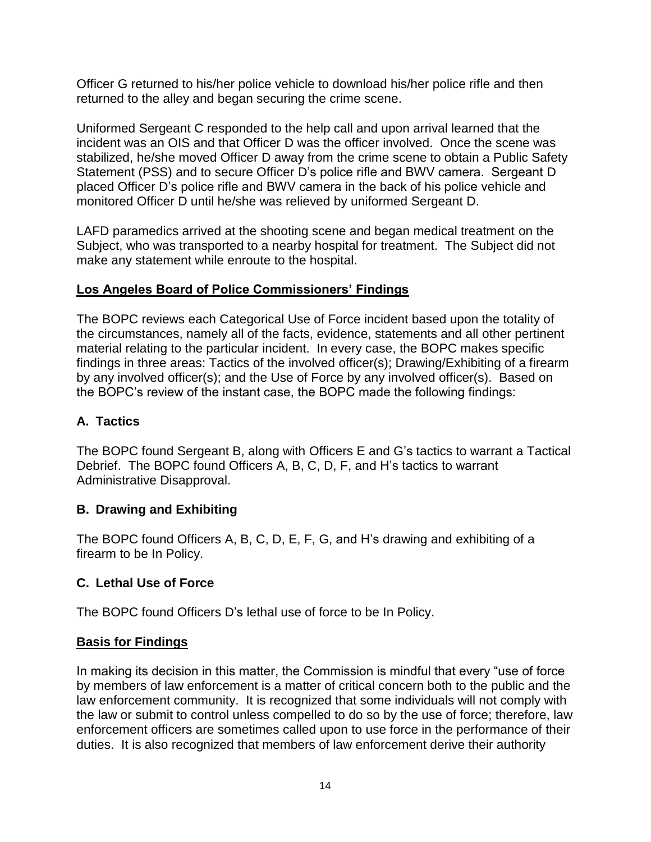Officer G returned to his/her police vehicle to download his/her police rifle and then returned to the alley and began securing the crime scene.

Uniformed Sergeant C responded to the help call and upon arrival learned that the incident was an OIS and that Officer D was the officer involved. Once the scene was stabilized, he/she moved Officer D away from the crime scene to obtain a Public Safety Statement (PSS) and to secure Officer D's police rifle and BWV camera. Sergeant D placed Officer D's police rifle and BWV camera in the back of his police vehicle and monitored Officer D until he/she was relieved by uniformed Sergeant D.

LAFD paramedics arrived at the shooting scene and began medical treatment on the Subject, who was transported to a nearby hospital for treatment. The Subject did not make any statement while enroute to the hospital.

## **Los Angeles Board of Police Commissioners' Findings**

The BOPC reviews each Categorical Use of Force incident based upon the totality of the circumstances, namely all of the facts, evidence, statements and all other pertinent material relating to the particular incident. In every case, the BOPC makes specific findings in three areas: Tactics of the involved officer(s); Drawing/Exhibiting of a firearm by any involved officer(s); and the Use of Force by any involved officer(s). Based on the BOPC's review of the instant case, the BOPC made the following findings:

## **A. Tactics**

The BOPC found Sergeant B, along with Officers E and G's tactics to warrant a Tactical Debrief. The BOPC found Officers A, B, C, D, F, and H's tactics to warrant Administrative Disapproval.

## **B. Drawing and Exhibiting**

The BOPC found Officers A, B, C, D, E, F, G, and H's drawing and exhibiting of a firearm to be In Policy.

## **C. Lethal Use of Force**

The BOPC found Officers D's lethal use of force to be In Policy.

## **Basis for Findings**

In making its decision in this matter, the Commission is mindful that every "use of force by members of law enforcement is a matter of critical concern both to the public and the law enforcement community. It is recognized that some individuals will not comply with the law or submit to control unless compelled to do so by the use of force; therefore, law enforcement officers are sometimes called upon to use force in the performance of their duties. It is also recognized that members of law enforcement derive their authority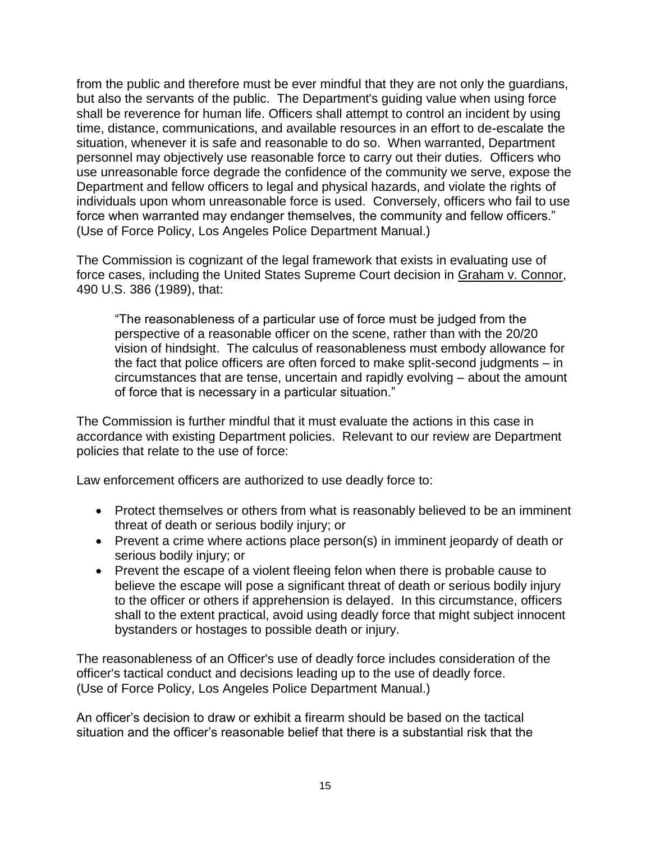from the public and therefore must be ever mindful that they are not only the guardians, but also the servants of the public. The Department's guiding value when using force shall be reverence for human life. Officers shall attempt to control an incident by using time, distance, communications, and available resources in an effort to de-escalate the situation, whenever it is safe and reasonable to do so. When warranted, Department personnel may objectively use reasonable force to carry out their duties. Officers who use unreasonable force degrade the confidence of the community we serve, expose the Department and fellow officers to legal and physical hazards, and violate the rights of individuals upon whom unreasonable force is used. Conversely, officers who fail to use force when warranted may endanger themselves, the community and fellow officers." (Use of Force Policy, Los Angeles Police Department Manual.)

The Commission is cognizant of the legal framework that exists in evaluating use of force cases, including the United States Supreme Court decision in Graham v. Connor, 490 U.S. 386 (1989), that:

"The reasonableness of a particular use of force must be judged from the perspective of a reasonable officer on the scene, rather than with the 20/20 vision of hindsight. The calculus of reasonableness must embody allowance for the fact that police officers are often forced to make split-second judgments – in circumstances that are tense, uncertain and rapidly evolving – about the amount of force that is necessary in a particular situation."

The Commission is further mindful that it must evaluate the actions in this case in accordance with existing Department policies. Relevant to our review are Department policies that relate to the use of force:

Law enforcement officers are authorized to use deadly force to:

- Protect themselves or others from what is reasonably believed to be an imminent threat of death or serious bodily injury; or
- Prevent a crime where actions place person(s) in imminent jeopardy of death or serious bodily injury; or
- Prevent the escape of a violent fleeing felon when there is probable cause to believe the escape will pose a significant threat of death or serious bodily injury to the officer or others if apprehension is delayed. In this circumstance, officers shall to the extent practical, avoid using deadly force that might subject innocent bystanders or hostages to possible death or injury.

The reasonableness of an Officer's use of deadly force includes consideration of the officer's tactical conduct and decisions leading up to the use of deadly force. (Use of Force Policy, Los Angeles Police Department Manual.)

An officer's decision to draw or exhibit a firearm should be based on the tactical situation and the officer's reasonable belief that there is a substantial risk that the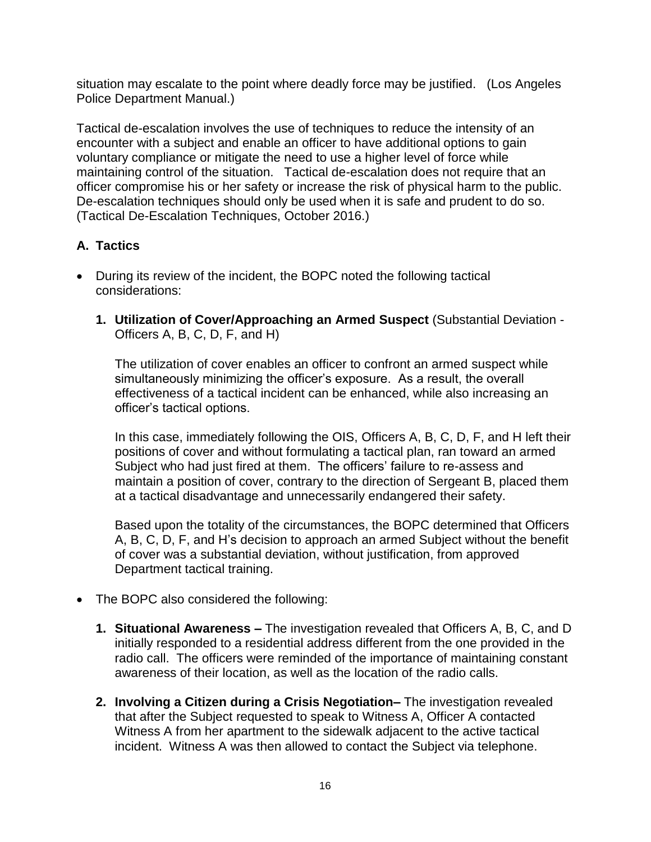situation may escalate to the point where deadly force may be justified. (Los Angeles Police Department Manual.)

Tactical de-escalation involves the use of techniques to reduce the intensity of an encounter with a subject and enable an officer to have additional options to gain voluntary compliance or mitigate the need to use a higher level of force while maintaining control of the situation. Tactical de-escalation does not require that an officer compromise his or her safety or increase the risk of physical harm to the public. De-escalation techniques should only be used when it is safe and prudent to do so. (Tactical De-Escalation Techniques, October 2016.)

# **A. Tactics**

- During its review of the incident, the BOPC noted the following tactical considerations:
	- **1. Utilization of Cover/Approaching an Armed Suspect** (Substantial Deviation Officers A, B, C, D, F, and H)

The utilization of cover enables an officer to confront an armed suspect while simultaneously minimizing the officer's exposure. As a result, the overall effectiveness of a tactical incident can be enhanced, while also increasing an officer's tactical options.

In this case, immediately following the OIS, Officers A, B, C, D, F, and H left their positions of cover and without formulating a tactical plan, ran toward an armed Subject who had just fired at them. The officers' failure to re-assess and maintain a position of cover, contrary to the direction of Sergeant B, placed them at a tactical disadvantage and unnecessarily endangered their safety.

Based upon the totality of the circumstances, the BOPC determined that Officers A, B, C, D, F, and H's decision to approach an armed Subject without the benefit of cover was a substantial deviation, without justification, from approved Department tactical training.

- The BOPC also considered the following:
	- **1. Situational Awareness –** The investigation revealed that Officers A, B, C, and D initially responded to a residential address different from the one provided in the radio call. The officers were reminded of the importance of maintaining constant awareness of their location, as well as the location of the radio calls.
	- **2. Involving a Citizen during a Crisis Negotiation–** The investigation revealed that after the Subject requested to speak to Witness A, Officer A contacted Witness A from her apartment to the sidewalk adjacent to the active tactical incident. Witness A was then allowed to contact the Subject via telephone.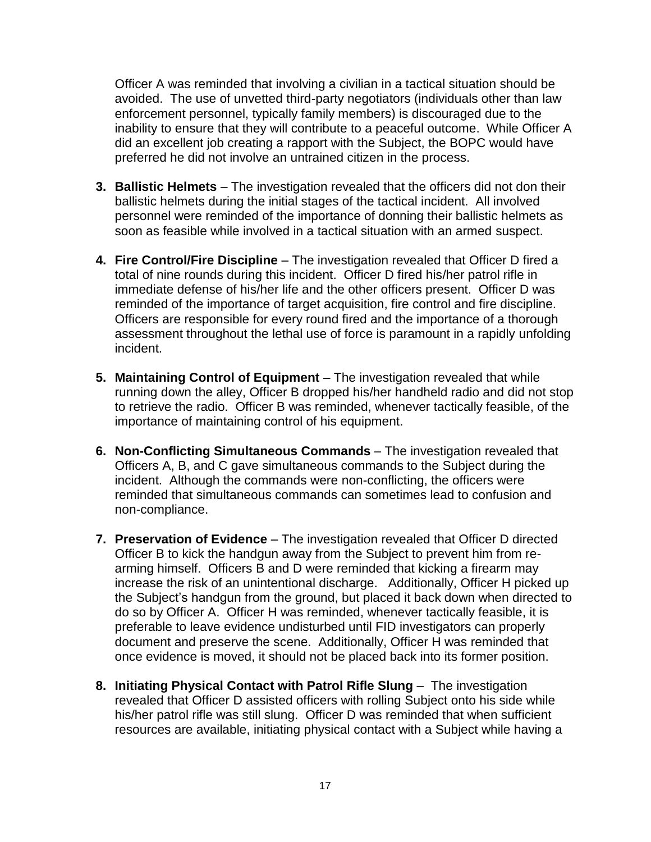Officer A was reminded that involving a civilian in a tactical situation should be avoided. The use of unvetted third-party negotiators (individuals other than law enforcement personnel, typically family members) is discouraged due to the inability to ensure that they will contribute to a peaceful outcome. While Officer A did an excellent job creating a rapport with the Subject, the BOPC would have preferred he did not involve an untrained citizen in the process.

- **3. Ballistic Helmets**  The investigation revealed that the officers did not don their ballistic helmets during the initial stages of the tactical incident. All involved personnel were reminded of the importance of donning their ballistic helmets as soon as feasible while involved in a tactical situation with an armed suspect.
- **4. Fire Control/Fire Discipline** The investigation revealed that Officer D fired a total of nine rounds during this incident. Officer D fired his/her patrol rifle in immediate defense of his/her life and the other officers present. Officer D was reminded of the importance of target acquisition, fire control and fire discipline. Officers are responsible for every round fired and the importance of a thorough assessment throughout the lethal use of force is paramount in a rapidly unfolding incident.
- **5. Maintaining Control of Equipment**  The investigation revealed that while running down the alley, Officer B dropped his/her handheld radio and did not stop to retrieve the radio. Officer B was reminded, whenever tactically feasible, of the importance of maintaining control of his equipment.
- **6. Non-Conflicting Simultaneous Commands**  The investigation revealed that Officers A, B, and C gave simultaneous commands to the Subject during the incident. Although the commands were non-conflicting, the officers were reminded that simultaneous commands can sometimes lead to confusion and non-compliance.
- **7. Preservation of Evidence** The investigation revealed that Officer D directed Officer B to kick the handgun away from the Subject to prevent him from rearming himself. Officers B and D were reminded that kicking a firearm may increase the risk of an unintentional discharge. Additionally, Officer H picked up the Subject's handgun from the ground, but placed it back down when directed to do so by Officer A. Officer H was reminded, whenever tactically feasible, it is preferable to leave evidence undisturbed until FID investigators can properly document and preserve the scene. Additionally, Officer H was reminded that once evidence is moved, it should not be placed back into its former position.
- **8. Initiating Physical Contact with Patrol Rifle Slung** The investigation revealed that Officer D assisted officers with rolling Subject onto his side while his/her patrol rifle was still slung. Officer D was reminded that when sufficient resources are available, initiating physical contact with a Subject while having a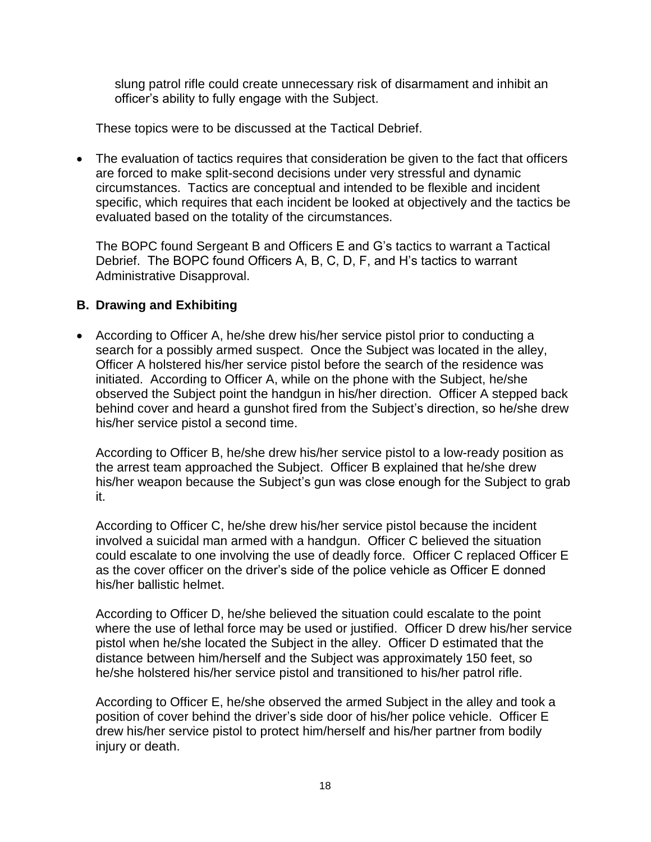slung patrol rifle could create unnecessary risk of disarmament and inhibit an officer's ability to fully engage with the Subject.

These topics were to be discussed at the Tactical Debrief.

• The evaluation of tactics requires that consideration be given to the fact that officers are forced to make split-second decisions under very stressful and dynamic circumstances. Tactics are conceptual and intended to be flexible and incident specific, which requires that each incident be looked at objectively and the tactics be evaluated based on the totality of the circumstances.

The BOPC found Sergeant B and Officers E and G's tactics to warrant a Tactical Debrief. The BOPC found Officers A, B, C, D, F, and H's tactics to warrant Administrative Disapproval.

## **B. Drawing and Exhibiting**

• According to Officer A, he/she drew his/her service pistol prior to conducting a search for a possibly armed suspect. Once the Subject was located in the alley, Officer A holstered his/her service pistol before the search of the residence was initiated. According to Officer A, while on the phone with the Subject, he/she observed the Subject point the handgun in his/her direction. Officer A stepped back behind cover and heard a gunshot fired from the Subject's direction, so he/she drew his/her service pistol a second time.

According to Officer B, he/she drew his/her service pistol to a low-ready position as the arrest team approached the Subject. Officer B explained that he/she drew his/her weapon because the Subject's gun was close enough for the Subject to grab it.

According to Officer C, he/she drew his/her service pistol because the incident involved a suicidal man armed with a handgun. Officer C believed the situation could escalate to one involving the use of deadly force. Officer C replaced Officer E as the cover officer on the driver's side of the police vehicle as Officer E donned his/her ballistic helmet.

According to Officer D, he/she believed the situation could escalate to the point where the use of lethal force may be used or justified. Officer D drew his/her service pistol when he/she located the Subject in the alley. Officer D estimated that the distance between him/herself and the Subject was approximately 150 feet, so he/she holstered his/her service pistol and transitioned to his/her patrol rifle.

According to Officer E, he/she observed the armed Subject in the alley and took a position of cover behind the driver's side door of his/her police vehicle. Officer E drew his/her service pistol to protect him/herself and his/her partner from bodily injury or death.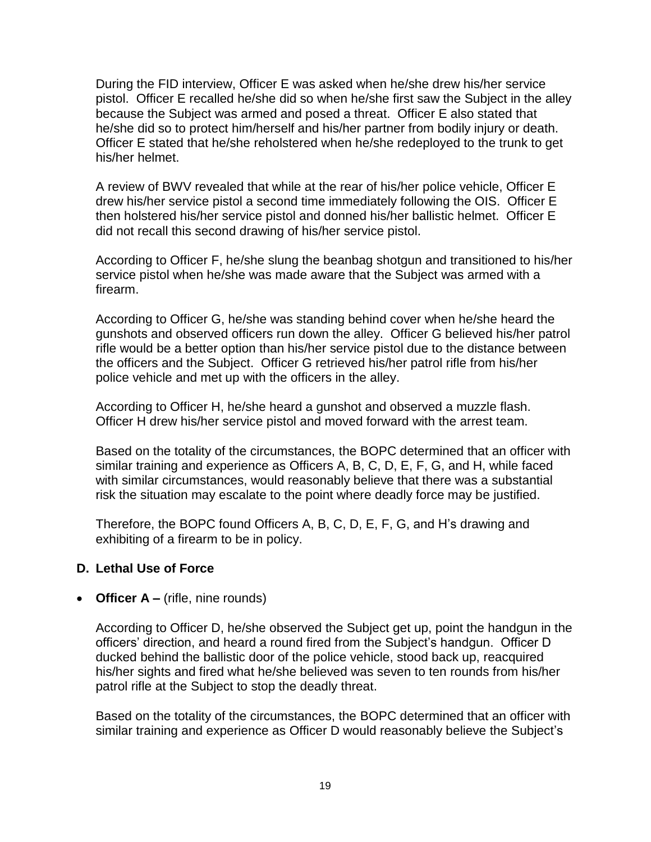During the FID interview, Officer E was asked when he/she drew his/her service pistol. Officer E recalled he/she did so when he/she first saw the Subject in the alley because the Subject was armed and posed a threat. Officer E also stated that he/she did so to protect him/herself and his/her partner from bodily injury or death. Officer E stated that he/she reholstered when he/she redeployed to the trunk to get his/her helmet.

A review of BWV revealed that while at the rear of his/her police vehicle, Officer E drew his/her service pistol a second time immediately following the OIS. Officer E then holstered his/her service pistol and donned his/her ballistic helmet. Officer E did not recall this second drawing of his/her service pistol.

According to Officer F, he/she slung the beanbag shotgun and transitioned to his/her service pistol when he/she was made aware that the Subject was armed with a firearm.

According to Officer G, he/she was standing behind cover when he/she heard the gunshots and observed officers run down the alley. Officer G believed his/her patrol rifle would be a better option than his/her service pistol due to the distance between the officers and the Subject. Officer G retrieved his/her patrol rifle from his/her police vehicle and met up with the officers in the alley.

According to Officer H, he/she heard a gunshot and observed a muzzle flash. Officer H drew his/her service pistol and moved forward with the arrest team.

Based on the totality of the circumstances, the BOPC determined that an officer with similar training and experience as Officers A, B, C, D, E, F, G, and H, while faced with similar circumstances, would reasonably believe that there was a substantial risk the situation may escalate to the point where deadly force may be justified.

Therefore, the BOPC found Officers A, B, C, D, E, F, G, and H's drawing and exhibiting of a firearm to be in policy.

## **D. Lethal Use of Force**

## • **Officer A –** (rifle, nine rounds)

According to Officer D, he/she observed the Subject get up, point the handgun in the officers' direction, and heard a round fired from the Subject's handgun. Officer D ducked behind the ballistic door of the police vehicle, stood back up, reacquired his/her sights and fired what he/she believed was seven to ten rounds from his/her patrol rifle at the Subject to stop the deadly threat.

Based on the totality of the circumstances, the BOPC determined that an officer with similar training and experience as Officer D would reasonably believe the Subject's